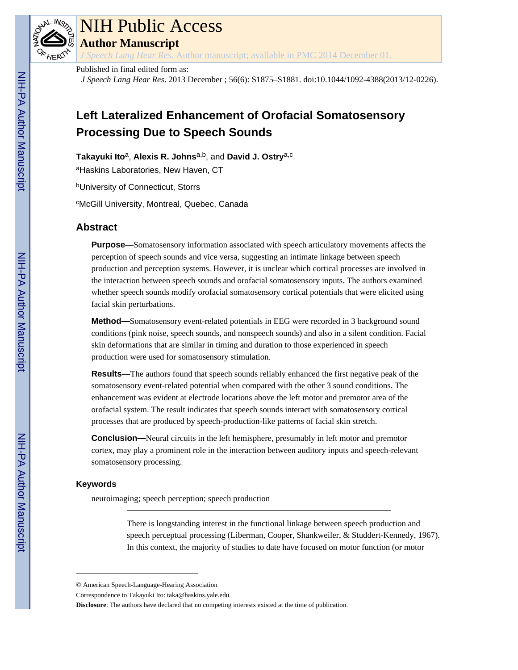

# NIH Public Access

**Author Manuscript**

*J Speech Lang Hear Res*. Author manuscript; available in PMC 2014 December 01.

# Published in final edited form as:

*J Speech Lang Hear Res*. 2013 December ; 56(6): S1875–S1881. doi:10.1044/1092-4388(2013/12-0226).

# **Left Lateralized Enhancement of Orofacial Somatosensory Processing Due to Speech Sounds**

**Takayuki Ito**a, **Alexis R. Johns**a,b, and **David J. Ostry**a,c

aHaskins Laboratories, New Haven, CT

**bUniversity of Connecticut, Storrs** 

<sup>c</sup>McGill University, Montreal, Quebec, Canada

# **Abstract**

**Purpose—**Somatosensory information associated with speech articulatory movements affects the perception of speech sounds and vice versa, suggesting an intimate linkage between speech production and perception systems. However, it is unclear which cortical processes are involved in the interaction between speech sounds and orofacial somatosensory inputs. The authors examined whether speech sounds modify orofacial somatosensory cortical potentials that were elicited using facial skin perturbations.

**Method—**Somatosensory event-related potentials in EEG were recorded in 3 background sound conditions (pink noise, speech sounds, and nonspeech sounds) and also in a silent condition. Facial skin deformations that are similar in timing and duration to those experienced in speech production were used for somatosensory stimulation.

**Results—**The authors found that speech sounds reliably enhanced the first negative peak of the somatosensory event-related potential when compared with the other 3 sound conditions. The enhancement was evident at electrode locations above the left motor and premotor area of the orofacial system. The result indicates that speech sounds interact with somatosensory cortical processes that are produced by speech-production-like patterns of facial skin stretch.

**Conclusion—**Neural circuits in the left hemisphere, presumably in left motor and premotor cortex, may play a prominent role in the interaction between auditory inputs and speech-relevant somatosensory processing.

# **Keywords**

neuroimaging; speech perception; speech production

There is longstanding interest in the functional linkage between speech production and speech perceptual processing (Liberman, Cooper, Shankweiler, & Studdert-Kennedy, 1967). In this context, the majority of studies to date have focused on motor function (or motor

<sup>©</sup> American Speech-Language-Hearing Association

Correspondence to Takayuki Ito: taka@haskins.yale.edu.

**Disclosure**: The authors have declared that no competing interests existed at the time of publication.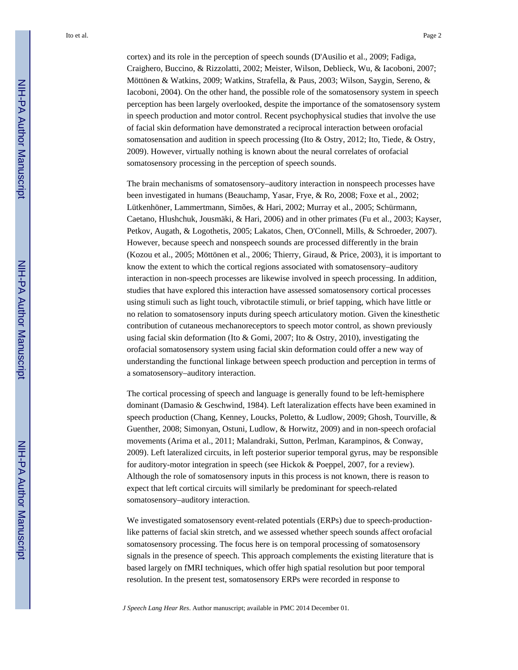cortex) and its role in the perception of speech sounds (D'Ausilio et al., 2009; Fadiga, Craighero, Buccino, & Rizzolatti, 2002; Meister, Wilson, Deblieck, Wu, & Iacoboni, 2007; Möttönen & Watkins, 2009; Watkins, Strafella, & Paus, 2003; Wilson, Saygin, Sereno, & Iacoboni, 2004). On the other hand, the possible role of the somatosensory system in speech perception has been largely overlooked, despite the importance of the somatosensory system in speech production and motor control. Recent psychophysical studies that involve the use of facial skin deformation have demonstrated a reciprocal interaction between orofacial somatosensation and audition in speech processing (Ito & Ostry, 2012; Ito, Tiede, & Ostry, 2009). However, virtually nothing is known about the neural correlates of orofacial somatosensory processing in the perception of speech sounds.

The brain mechanisms of somatosensory–auditory interaction in nonspeech processes have been investigated in humans (Beauchamp, Yasar, Frye, & Ro, 2008; Foxe et al., 2002; Lütkenhöner, Lammertmann, Simões, & Hari, 2002; Murray et al., 2005; Schürmann, Caetano, Hlushchuk, Jousmäki, & Hari, 2006) and in other primates (Fu et al., 2003; Kayser, Petkov, Augath, & Logothetis, 2005; Lakatos, Chen, O'Connell, Mills, & Schroeder, 2007). However, because speech and nonspeech sounds are processed differently in the brain (Kozou et al., 2005; Möttönen et al., 2006; Thierry, Giraud, & Price, 2003), it is important to know the extent to which the cortical regions associated with somatosensory–auditory interaction in non-speech processes are likewise involved in speech processing. In addition, studies that have explored this interaction have assessed somatosensory cortical processes using stimuli such as light touch, vibrotactile stimuli, or brief tapping, which have little or no relation to somatosensory inputs during speech articulatory motion. Given the kinesthetic contribution of cutaneous mechanoreceptors to speech motor control, as shown previously using facial skin deformation (Ito & Gomi, 2007; Ito & Ostry, 2010), investigating the orofacial somatosensory system using facial skin deformation could offer a new way of understanding the functional linkage between speech production and perception in terms of a somatosensory–auditory interaction.

The cortical processing of speech and language is generally found to be left-hemisphere dominant (Damasio & Geschwind, 1984). Left lateralization effects have been examined in speech production (Chang, Kenney, Loucks, Poletto, & Ludlow, 2009; Ghosh, Tourville, & Guenther, 2008; Simonyan, Ostuni, Ludlow, & Horwitz, 2009) and in non-speech orofacial movements (Arima et al., 2011; Malandraki, Sutton, Perlman, Karampinos, & Conway, 2009). Left lateralized circuits, in left posterior superior temporal gyrus, may be responsible for auditory-motor integration in speech (see Hickok & Poeppel, 2007, for a review). Although the role of somatosensory inputs in this process is not known, there is reason to expect that left cortical circuits will similarly be predominant for speech-related somatosensory–auditory interaction.

We investigated somatosensory event-related potentials (ERPs) due to speech-productionlike patterns of facial skin stretch, and we assessed whether speech sounds affect orofacial somatosensory processing. The focus here is on temporal processing of somatosensory signals in the presence of speech. This approach complements the existing literature that is based largely on fMRI techniques, which offer high spatial resolution but poor temporal resolution. In the present test, somatosensory ERPs were recorded in response to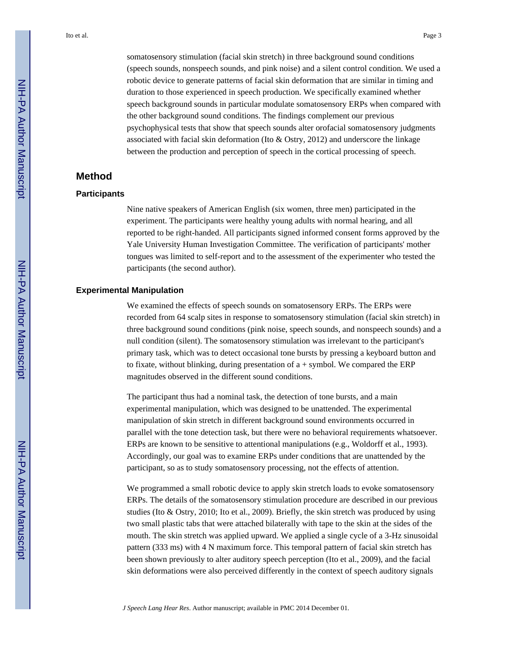somatosensory stimulation (facial skin stretch) in three background sound conditions (speech sounds, nonspeech sounds, and pink noise) and a silent control condition. We used a robotic device to generate patterns of facial skin deformation that are similar in timing and duration to those experienced in speech production. We specifically examined whether speech background sounds in particular modulate somatosensory ERPs when compared with the other background sound conditions. The findings complement our previous psychophysical tests that show that speech sounds alter orofacial somatosensory judgments associated with facial skin deformation (Ito & Ostry, 2012) and underscore the linkage between the production and perception of speech in the cortical processing of speech.

## **Method**

#### **Participants**

Nine native speakers of American English (six women, three men) participated in the experiment. The participants were healthy young adults with normal hearing, and all reported to be right-handed. All participants signed informed consent forms approved by the Yale University Human Investigation Committee. The verification of participants' mother tongues was limited to self-report and to the assessment of the experimenter who tested the participants (the second author).

#### **Experimental Manipulation**

We examined the effects of speech sounds on somatosensory ERPs. The ERPs were recorded from 64 scalp sites in response to somatosensory stimulation (facial skin stretch) in three background sound conditions (pink noise, speech sounds, and nonspeech sounds) and a null condition (silent). The somatosensory stimulation was irrelevant to the participant's primary task, which was to detect occasional tone bursts by pressing a keyboard button and to fixate, without blinking, during presentation of  $a + symbol$ . We compared the ERP magnitudes observed in the different sound conditions.

The participant thus had a nominal task, the detection of tone bursts, and a main experimental manipulation, which was designed to be unattended. The experimental manipulation of skin stretch in different background sound environments occurred in parallel with the tone detection task, but there were no behavioral requirements whatsoever. ERPs are known to be sensitive to attentional manipulations (e.g., Woldorff et al., 1993). Accordingly, our goal was to examine ERPs under conditions that are unattended by the participant, so as to study somatosensory processing, not the effects of attention.

We programmed a small robotic device to apply skin stretch loads to evoke somatosensory ERPs. The details of the somatosensory stimulation procedure are described in our previous studies (Ito & Ostry, 2010; Ito et al., 2009). Briefly, the skin stretch was produced by using two small plastic tabs that were attached bilaterally with tape to the skin at the sides of the mouth. The skin stretch was applied upward. We applied a single cycle of a 3-Hz sinusoidal pattern (333 ms) with 4 N maximum force. This temporal pattern of facial skin stretch has been shown previously to alter auditory speech perception (Ito et al., 2009), and the facial skin deformations were also perceived differently in the context of speech auditory signals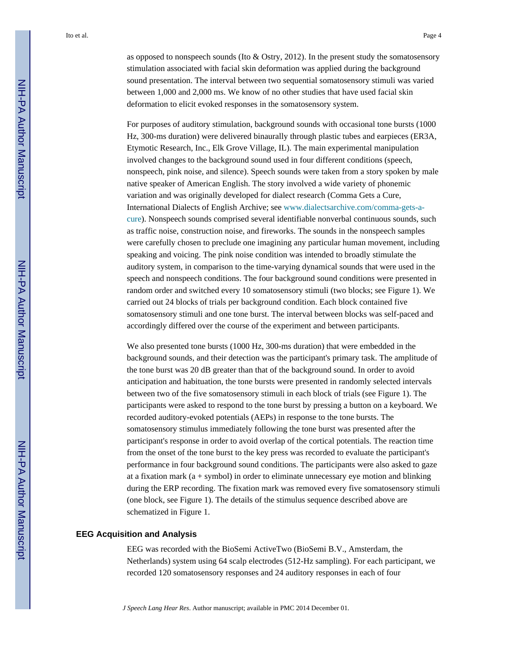as opposed to nonspeech sounds (Ito & Ostry, 2012). In the present study the somatosensory stimulation associated with facial skin deformation was applied during the background sound presentation. The interval between two sequential somatosensory stimuli was varied between 1,000 and 2,000 ms. We know of no other studies that have used facial skin deformation to elicit evoked responses in the somatosensory system.

For purposes of auditory stimulation, background sounds with occasional tone bursts (1000 Hz, 300-ms duration) were delivered binaurally through plastic tubes and earpieces (ER3A, Etymotic Research, Inc., Elk Grove Village, IL). The main experimental manipulation involved changes to the background sound used in four different conditions (speech, nonspeech, pink noise, and silence). Speech sounds were taken from a story spoken by male native speaker of American English. The story involved a wide variety of phonemic variation and was originally developed for dialect research (Comma Gets a Cure, International Dialects of English Archive; see [www.dialectsarchive.com/comma-gets-a](http://www.dialectsarchive.com/comma-gets-a-cure)[cure](http://www.dialectsarchive.com/comma-gets-a-cure)). Nonspeech sounds comprised several identifiable nonverbal continuous sounds, such as traffic noise, construction noise, and fireworks. The sounds in the nonspeech samples were carefully chosen to preclude one imagining any particular human movement, including speaking and voicing. The pink noise condition was intended to broadly stimulate the auditory system, in comparison to the time-varying dynamical sounds that were used in the speech and nonspeech conditions. The four background sound conditions were presented in random order and switched every 10 somatosensory stimuli (two blocks; see Figure 1). We carried out 24 blocks of trials per background condition. Each block contained five somatosensory stimuli and one tone burst. The interval between blocks was self-paced and accordingly differed over the course of the experiment and between participants.

We also presented tone bursts (1000 Hz, 300-ms duration) that were embedded in the background sounds, and their detection was the participant's primary task. The amplitude of the tone burst was 20 dB greater than that of the background sound. In order to avoid anticipation and habituation, the tone bursts were presented in randomly selected intervals between two of the five somatosensory stimuli in each block of trials (see Figure 1). The participants were asked to respond to the tone burst by pressing a button on a keyboard. We recorded auditory-evoked potentials (AEPs) in response to the tone bursts. The somatosensory stimulus immediately following the tone burst was presented after the participant's response in order to avoid overlap of the cortical potentials. The reaction time from the onset of the tone burst to the key press was recorded to evaluate the participant's performance in four background sound conditions. The participants were also asked to gaze at a fixation mark  $(a + symbol)$  in order to eliminate unnecessary eye motion and blinking during the ERP recording. The fixation mark was removed every five somatosensory stimuli (one block, see Figure 1). The details of the stimulus sequence described above are schematized in Figure 1.

#### **EEG Acquisition and Analysis**

EEG was recorded with the BioSemi ActiveTwo (BioSemi B.V., Amsterdam, the Netherlands) system using 64 scalp electrodes (512-Hz sampling). For each participant, we recorded 120 somatosensory responses and 24 auditory responses in each of four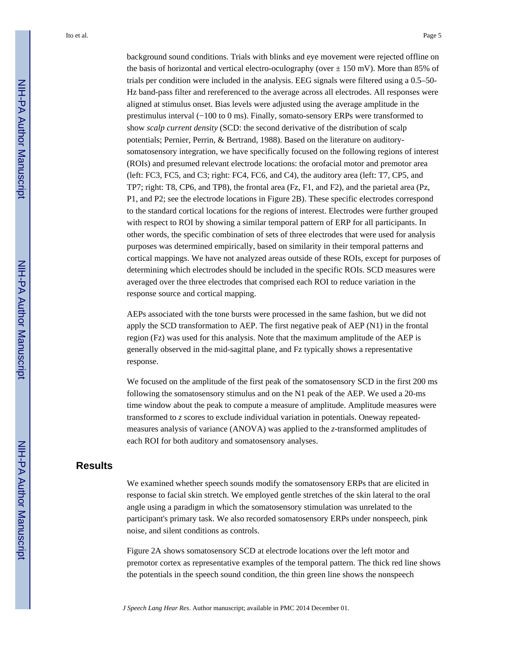background sound conditions. Trials with blinks and eye movement were rejected offline on the basis of horizontal and vertical electro-oculography (over  $\pm$  150 mV). More than 85% of trials per condition were included in the analysis. EEG signals were filtered using a 0.5–50- Hz band-pass filter and rereferenced to the average across all electrodes. All responses were aligned at stimulus onset. Bias levels were adjusted using the average amplitude in the prestimulus interval (−100 to 0 ms). Finally, somato-sensory ERPs were transformed to show *scalp current density* (SCD: the second derivative of the distribution of scalp potentials; Pernier, Perrin, & Bertrand, 1988). Based on the literature on auditorysomatosensory integration, we have specifically focused on the following regions of interest (ROIs) and presumed relevant electrode locations: the orofacial motor and premotor area (left: FC3, FC5, and C3; right: FC4, FC6, and C4), the auditory area (left: T7, CP5, and TP7; right: T8, CP6, and TP8), the frontal area (Fz, F1, and F2), and the parietal area (Pz, P1, and P2; see the electrode locations in Figure 2B). These specific electrodes correspond to the standard cortical locations for the regions of interest. Electrodes were further grouped with respect to ROI by showing a similar temporal pattern of ERP for all participants. In other words, the specific combination of sets of three electrodes that were used for analysis purposes was determined empirically, based on similarity in their temporal patterns and cortical mappings. We have not analyzed areas outside of these ROIs, except for purposes of determining which electrodes should be included in the specific ROIs. SCD measures were averaged over the three electrodes that comprised each ROI to reduce variation in the response source and cortical mapping.

AEPs associated with the tone bursts were processed in the same fashion, but we did not apply the SCD transformation to AEP. The first negative peak of AEP (N1) in the frontal region (Fz) was used for this analysis. Note that the maximum amplitude of the AEP is generally observed in the mid-sagittal plane, and Fz typically shows a representative response.

We focused on the amplitude of the first peak of the somatosensory SCD in the first 200 ms following the somatosensory stimulus and on the N1 peak of the AEP. We used a 20-ms time window about the peak to compute a measure of amplitude. Amplitude measures were transformed to *z* scores to exclude individual variation in potentials. Oneway repeatedmeasures analysis of variance (ANOVA) was applied to the *z*-transformed amplitudes of each ROI for both auditory and somatosensory analyses.

# **Results**

We examined whether speech sounds modify the somatosensory ERPs that are elicited in response to facial skin stretch. We employed gentle stretches of the skin lateral to the oral angle using a paradigm in which the somatosensory stimulation was unrelated to the participant's primary task. We also recorded somatosensory ERPs under nonspeech, pink noise, and silent conditions as controls.

Figure 2A shows somatosensory SCD at electrode locations over the left motor and premotor cortex as representative examples of the temporal pattern. The thick red line shows the potentials in the speech sound condition, the thin green line shows the nonspeech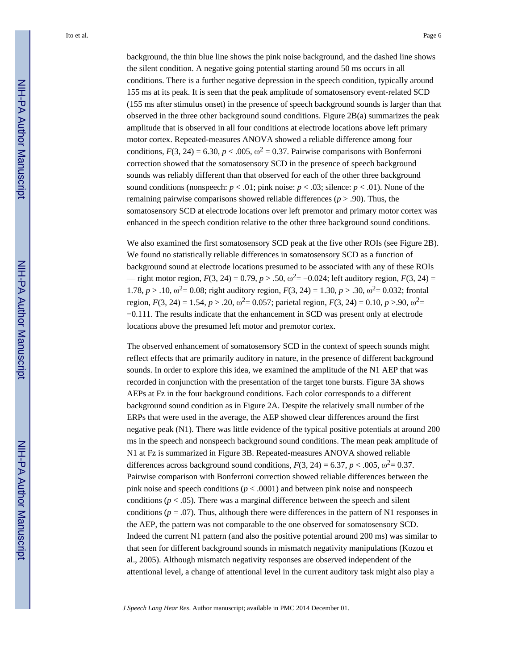background, the thin blue line shows the pink noise background, and the dashed line shows the silent condition. A negative going potential starting around 50 ms occurs in all conditions. There is a further negative depression in the speech condition, typically around 155 ms at its peak. It is seen that the peak amplitude of somatosensory event-related SCD (155 ms after stimulus onset) in the presence of speech background sounds is larger than that observed in the three other background sound conditions. Figure 2B(a) summarizes the peak amplitude that is observed in all four conditions at electrode locations above left primary motor cortex. Repeated-measures ANOVA showed a reliable difference among four conditions,  $F(3, 24) = 6.30, p < .005, \omega^2 = 0.37$ . Pairwise comparisons with Bonferroni correction showed that the somatosensory SCD in the presence of speech background sounds was reliably different than that observed for each of the other three background sound conditions (nonspeech:  $p < .01$ ; pink noise:  $p < .03$ ; silence:  $p < .01$ ). None of the remaining pairwise comparisons showed reliable differences (*p* > .90). Thus, the somatosensory SCD at electrode locations over left premotor and primary motor cortex was enhanced in the speech condition relative to the other three background sound conditions.

We also examined the first somatosensory SCD peak at the five other ROIs (see Figure 2B). We found no statistically reliable differences in somatosensory SCD as a function of background sound at electrode locations presumed to be associated with any of these ROIs — right motor region, *F*(3, 24) = 0.79, *p* > .50,  $\omega^2$  = −0.024; left auditory region, *F*(3, 24) = 1.78, *p* > .10, ω<sup>2</sup> = 0.08; right auditory region, *F*(3, 24) = 1.30, *p* > .30, ω<sup>2</sup> = 0.032; frontal region,  $F(3, 24) = 1.54$ ,  $p > .20$ ,  $\omega^2 = 0.057$ ; parietal region,  $F(3, 24) = 0.10$ ,  $p > .90$ ,  $\omega^2 =$ −0.111. The results indicate that the enhancement in SCD was present only at electrode locations above the presumed left motor and premotor cortex.

The observed enhancement of somatosensory SCD in the context of speech sounds might reflect effects that are primarily auditory in nature, in the presence of different background sounds. In order to explore this idea, we examined the amplitude of the N1 AEP that was recorded in conjunction with the presentation of the target tone bursts. Figure 3A shows AEPs at Fz in the four background conditions. Each color corresponds to a different background sound condition as in Figure 2A. Despite the relatively small number of the ERPs that were used in the average, the AEP showed clear differences around the first negative peak (N1). There was little evidence of the typical positive potentials at around 200 ms in the speech and nonspeech background sound conditions. The mean peak amplitude of N1 at Fz is summarized in Figure 3B. Repeated-measures ANOVA showed reliable differences across background sound conditions,  $F(3, 24) = 6.37$ ,  $p < .005$ ,  $\omega^2 = 0.37$ . Pairwise comparison with Bonferroni correction showed reliable differences between the pink noise and speech conditions  $(p < .0001)$  and between pink noise and nonspeech conditions ( $p < .05$ ). There was a marginal difference between the speech and silent conditions ( $p = .07$ ). Thus, although there were differences in the pattern of N1 responses in the AEP, the pattern was not comparable to the one observed for somatosensory SCD. Indeed the current N1 pattern (and also the positive potential around 200 ms) was similar to that seen for different background sounds in mismatch negativity manipulations (Kozou et al., 2005). Although mismatch negativity responses are observed independent of the attentional level, a change of attentional level in the current auditory task might also play a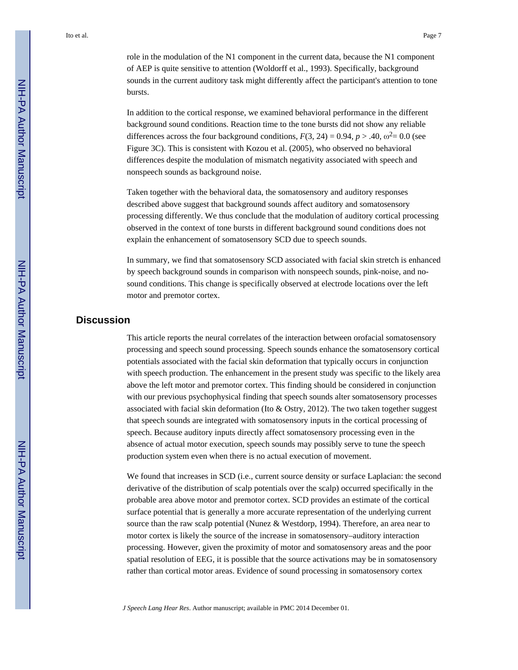role in the modulation of the N1 component in the current data, because the N1 component of AEP is quite sensitive to attention (Woldorff et al., 1993). Specifically, background sounds in the current auditory task might differently affect the participant's attention to tone bursts.

In addition to the cortical response, we examined behavioral performance in the different background sound conditions. Reaction time to the tone bursts did not show any reliable differences across the four background conditions,  $F(3, 24) = 0.94$ ,  $p > .40$ ,  $\omega^2 = 0.0$  (see Figure 3C). This is consistent with Kozou et al. (2005), who observed no behavioral differences despite the modulation of mismatch negativity associated with speech and nonspeech sounds as background noise.

Taken together with the behavioral data, the somatosensory and auditory responses described above suggest that background sounds affect auditory and somatosensory processing differently. We thus conclude that the modulation of auditory cortical processing observed in the context of tone bursts in different background sound conditions does not explain the enhancement of somatosensory SCD due to speech sounds.

In summary, we find that somatosensory SCD associated with facial skin stretch is enhanced by speech background sounds in comparison with nonspeech sounds, pink-noise, and nosound conditions. This change is specifically observed at electrode locations over the left motor and premotor cortex.

# **Discussion**

This article reports the neural correlates of the interaction between orofacial somatosensory processing and speech sound processing. Speech sounds enhance the somatosensory cortical potentials associated with the facial skin deformation that typically occurs in conjunction with speech production. The enhancement in the present study was specific to the likely area above the left motor and premotor cortex. This finding should be considered in conjunction with our previous psychophysical finding that speech sounds alter somatosensory processes associated with facial skin deformation (Ito & Ostry, 2012). The two taken together suggest that speech sounds are integrated with somatosensory inputs in the cortical processing of speech. Because auditory inputs directly affect somatosensory processing even in the absence of actual motor execution, speech sounds may possibly serve to tune the speech production system even when there is no actual execution of movement.

We found that increases in SCD (i.e., current source density or surface Laplacian: the second derivative of the distribution of scalp potentials over the scalp) occurred specifically in the probable area above motor and premotor cortex. SCD provides an estimate of the cortical surface potential that is generally a more accurate representation of the underlying current source than the raw scalp potential (Nunez & Westdorp, 1994). Therefore, an area near to motor cortex is likely the source of the increase in somatosensory–auditory interaction processing. However, given the proximity of motor and somatosensory areas and the poor spatial resolution of EEG, it is possible that the source activations may be in somatosensory rather than cortical motor areas. Evidence of sound processing in somatosensory cortex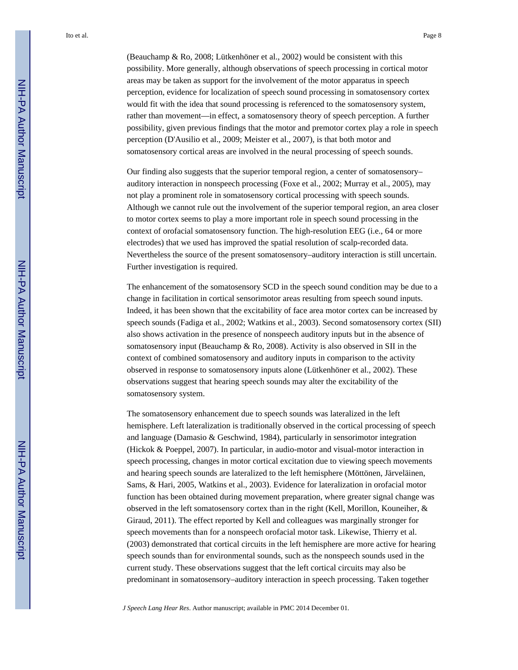(Beauchamp & Ro, 2008; Lütkenhöner et al., 2002) would be consistent with this possibility. More generally, although observations of speech processing in cortical motor areas may be taken as support for the involvement of the motor apparatus in speech perception, evidence for localization of speech sound processing in somatosensory cortex would fit with the idea that sound processing is referenced to the somatosensory system, rather than movement—in effect, a somatosensory theory of speech perception. A further possibility, given previous findings that the motor and premotor cortex play a role in speech perception (D'Ausilio et al., 2009; Meister et al., 2007), is that both motor and somatosensory cortical areas are involved in the neural processing of speech sounds.

Our finding also suggests that the superior temporal region, a center of somatosensory– auditory interaction in nonspeech processing (Foxe et al., 2002; Murray et al., 2005), may not play a prominent role in somatosensory cortical processing with speech sounds. Although we cannot rule out the involvement of the superior temporal region, an area closer to motor cortex seems to play a more important role in speech sound processing in the context of orofacial somatosensory function. The high-resolution EEG (i.e., 64 or more electrodes) that we used has improved the spatial resolution of scalp-recorded data. Nevertheless the source of the present somatosensory–auditory interaction is still uncertain. Further investigation is required.

The enhancement of the somatosensory SCD in the speech sound condition may be due to a change in facilitation in cortical sensorimotor areas resulting from speech sound inputs. Indeed, it has been shown that the excitability of face area motor cortex can be increased by speech sounds (Fadiga et al., 2002; Watkins et al., 2003). Second somatosensory cortex (SII) also shows activation in the presence of nonspeech auditory inputs but in the absence of somatosensory input (Beauchamp  $\&$  Ro, 2008). Activity is also observed in SII in the context of combined somatosensory and auditory inputs in comparison to the activity observed in response to somatosensory inputs alone (Lütkenhöner et al., 2002). These observations suggest that hearing speech sounds may alter the excitability of the somatosensory system.

The somatosensory enhancement due to speech sounds was lateralized in the left hemisphere. Left lateralization is traditionally observed in the cortical processing of speech and language (Damasio & Geschwind, 1984), particularly in sensorimotor integration (Hickok & Poeppel, 2007). In particular, in audio-motor and visual-motor interaction in speech processing, changes in motor cortical excitation due to viewing speech movements and hearing speech sounds are lateralized to the left hemisphere (Möttönen, Järveläinen, Sams, & Hari, 2005, Watkins et al., 2003). Evidence for lateralization in orofacial motor function has been obtained during movement preparation, where greater signal change was observed in the left somatosensory cortex than in the right (Kell, Morillon, Kouneiher, & Giraud, 2011). The effect reported by Kell and colleagues was marginally stronger for speech movements than for a nonspeech orofacial motor task. Likewise, Thierry et al. (2003) demonstrated that cortical circuits in the left hemisphere are more active for hearing speech sounds than for environmental sounds, such as the nonspeech sounds used in the current study. These observations suggest that the left cortical circuits may also be predominant in somatosensory–auditory interaction in speech processing. Taken together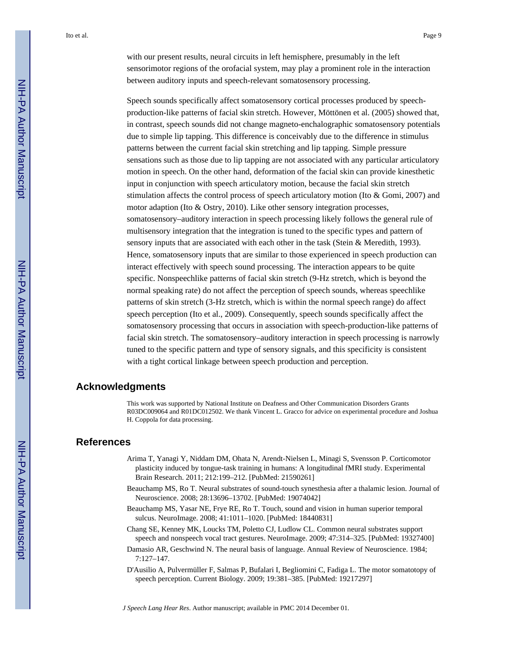with our present results, neural circuits in left hemisphere, presumably in the left sensorimotor regions of the orofacial system, may play a prominent role in the interaction between auditory inputs and speech-relevant somatosensory processing.

Speech sounds specifically affect somatosensory cortical processes produced by speechproduction-like patterns of facial skin stretch. However, Möttönen et al. (2005) showed that, in contrast, speech sounds did not change magneto-enchalographic somatosensory potentials due to simple lip tapping. This difference is conceivably due to the difference in stimulus patterns between the current facial skin stretching and lip tapping. Simple pressure sensations such as those due to lip tapping are not associated with any particular articulatory motion in speech. On the other hand, deformation of the facial skin can provide kinesthetic input in conjunction with speech articulatory motion, because the facial skin stretch stimulation affects the control process of speech articulatory motion (Ito & Gomi, 2007) and motor adaption (Ito & Ostry, 2010). Like other sensory integration processes, somatosensory–auditory interaction in speech processing likely follows the general rule of multisensory integration that the integration is tuned to the specific types and pattern of sensory inputs that are associated with each other in the task (Stein & Meredith, 1993). Hence, somatosensory inputs that are similar to those experienced in speech production can interact effectively with speech sound processing. The interaction appears to be quite specific. Nonspeechlike patterns of facial skin stretch (9-Hz stretch, which is beyond the normal speaking rate) do not affect the perception of speech sounds, whereas speechlike patterns of skin stretch (3-Hz stretch, which is within the normal speech range) do affect speech perception (Ito et al., 2009). Consequently, speech sounds specifically affect the somatosensory processing that occurs in association with speech-production-like patterns of facial skin stretch. The somatosensory–auditory interaction in speech processing is narrowly tuned to the specific pattern and type of sensory signals, and this specificity is consistent with a tight cortical linkage between speech production and perception.

# **Acknowledgments**

This work was supported by National Institute on Deafness and Other Communication Disorders Grants R03DC009064 and R01DC012502. We thank Vincent L. Gracco for advice on experimental procedure and Joshua H. Coppola for data processing.

# **References**

- Arima T, Yanagi Y, Niddam DM, Ohata N, Arendt-Nielsen L, Minagi S, Svensson P. Corticomotor plasticity induced by tongue-task training in humans: A longitudinal fMRI study. Experimental Brain Research. 2011; 212:199–212. [PubMed: 21590261]
- Beauchamp MS, Ro T. Neural substrates of sound-touch synesthesia after a thalamic lesion. Journal of Neuroscience. 2008; 28:13696–13702. [PubMed: 19074042]
- Beauchamp MS, Yasar NE, Frye RE, Ro T. Touch, sound and vision in human superior temporal sulcus. NeuroImage. 2008; 41:1011–1020. [PubMed: 18440831]
- Chang SE, Kenney MK, Loucks TM, Poletto CJ, Ludlow CL. Common neural substrates support speech and nonspeech vocal tract gestures. NeuroImage. 2009; 47:314–325. [PubMed: 19327400]
- Damasio AR, Geschwind N. The neural basis of language. Annual Review of Neuroscience. 1984; 7:127–147.
- D'Ausilio A, Pulvermüller F, Salmas P, Bufalari I, Begliomini C, Fadiga L. The motor somatotopy of speech perception. Current Biology. 2009; 19:381–385. [PubMed: 19217297]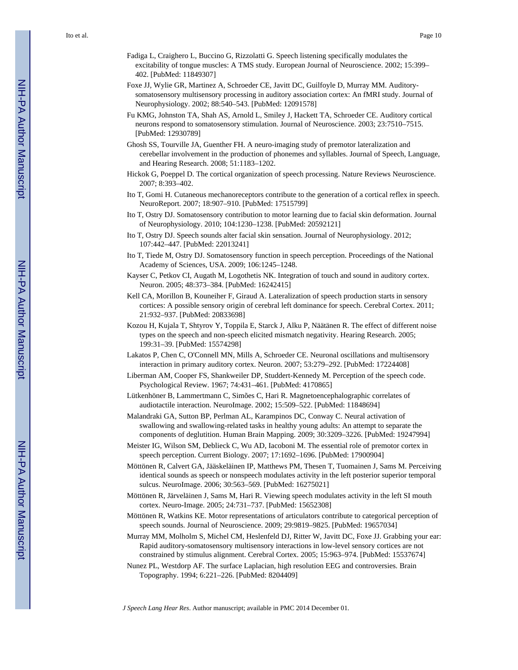- Fadiga L, Craighero L, Buccino G, Rizzolatti G. Speech listening specifically modulates the excitability of tongue muscles: A TMS study. European Journal of Neuroscience. 2002; 15:399– 402. [PubMed: 11849307]
- Foxe JJ, Wylie GR, Martinez A, Schroeder CE, Javitt DC, Guilfoyle D, Murray MM. Auditorysomatosensory multisensory processing in auditory association cortex: An fMRI study. Journal of Neurophysiology. 2002; 88:540–543. [PubMed: 12091578]
- Fu KMG, Johnston TA, Shah AS, Arnold L, Smiley J, Hackett TA, Schroeder CE. Auditory cortical neurons respond to somatosensory stimulation. Journal of Neuroscience. 2003; 23:7510–7515. [PubMed: 12930789]
- Ghosh SS, Tourville JA, Guenther FH. A neuro-imaging study of premotor lateralization and cerebellar involvement in the production of phonemes and syllables. Journal of Speech, Language, and Hearing Research. 2008; 51:1183–1202.
- Hickok G, Poeppel D. The cortical organization of speech processing. Nature Reviews Neuroscience. 2007; 8:393–402.
- Ito T, Gomi H. Cutaneous mechanoreceptors contribute to the generation of a cortical reflex in speech. NeuroReport. 2007; 18:907–910. [PubMed: 17515799]
- Ito T, Ostry DJ. Somatosensory contribution to motor learning due to facial skin deformation. Journal of Neurophysiology. 2010; 104:1230–1238. [PubMed: 20592121]
- Ito T, Ostry DJ. Speech sounds alter facial skin sensation. Journal of Neurophysiology. 2012; 107:442–447. [PubMed: 22013241]
- Ito T, Tiede M, Ostry DJ. Somatosensory function in speech perception. Proceedings of the National Academy of Sciences, USA. 2009; 106:1245–1248.
- Kayser C, Petkov CI, Augath M, Logothetis NK. Integration of touch and sound in auditory cortex. Neuron. 2005; 48:373–384. [PubMed: 16242415]
- Kell CA, Morillon B, Kouneiher F, Giraud A. Lateralization of speech production starts in sensory cortices: A possible sensory origin of cerebral left dominance for speech. Cerebral Cortex. 2011; 21:932–937. [PubMed: 20833698]
- Kozou H, Kujala T, Shtyrov Y, Toppila E, Starck J, Alku P, Näätänen R. The effect of different noise types on the speech and non-speech elicited mismatch negativity. Hearing Research. 2005; 199:31–39. [PubMed: 15574298]
- Lakatos P, Chen C, O'Connell MN, Mills A, Schroeder CE. Neuronal oscillations and multisensory interaction in primary auditory cortex. Neuron. 2007; 53:279–292. [PubMed: 17224408]
- Liberman AM, Cooper FS, Shankweiler DP, Studdert-Kennedy M. Perception of the speech code. Psychological Review. 1967; 74:431–461. [PubMed: 4170865]
- Lütkenhöner B, Lammertmann C, Simões C, Hari R. Magnetoencephalographic correlates of audiotactile interaction. NeuroImage. 2002; 15:509–522. [PubMed: 11848694]
- Malandraki GA, Sutton BP, Perlman AL, Karampinos DC, Conway C. Neural activation of swallowing and swallowing-related tasks in healthy young adults: An attempt to separate the components of deglutition. Human Brain Mapping. 2009; 30:3209–3226. [PubMed: 19247994]
- Meister IG, Wilson SM, Deblieck C, Wu AD, Iacoboni M. The essential role of premotor cortex in speech perception. Current Biology. 2007; 17:1692–1696. [PubMed: 17900904]
- Möttönen R, Calvert GA, Jääskeläinen IP, Matthews PM, Thesen T, Tuomainen J, Sams M. Perceiving identical sounds as speech or nonspeech modulates activity in the left posterior superior temporal sulcus. NeuroImage. 2006; 30:563–569. [PubMed: 16275021]
- Möttönen R, Järveläinen J, Sams M, Hari R. Viewing speech modulates activity in the left SI mouth cortex. Neuro-Image. 2005; 24:731–737. [PubMed: 15652308]
- Möttönen R, Watkins KE. Motor representations of articulators contribute to categorical perception of speech sounds. Journal of Neuroscience. 2009; 29:9819–9825. [PubMed: 19657034]
- Murray MM, Molholm S, Michel CM, Heslenfeld DJ, Ritter W, Javitt DC, Foxe JJ. Grabbing your ear: Rapid auditory-somatosensory multisensory interactions in low-level sensory cortices are not constrained by stimulus alignment. Cerebral Cortex. 2005; 15:963–974. [PubMed: 15537674]
- Nunez PL, Westdorp AF. The surface Laplacian, high resolution EEG and controversies. Brain Topography. 1994; 6:221–226. [PubMed: 8204409]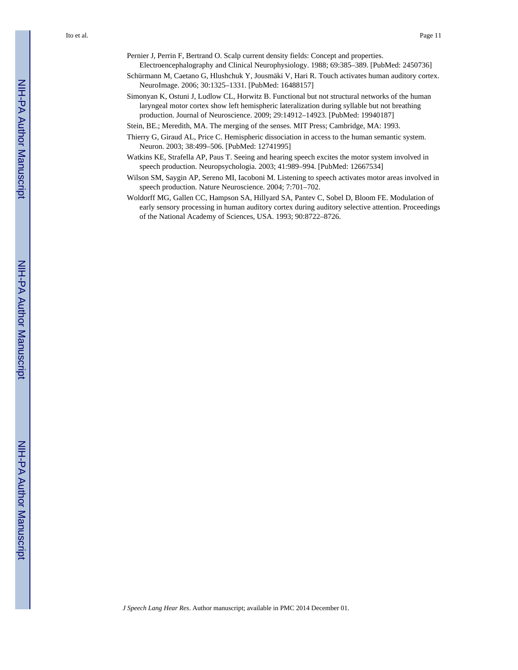- Pernier J, Perrin F, Bertrand O. Scalp current density fields: Concept and properties. Electroencephalography and Clinical Neurophysiology. 1988; 69:385–389. [PubMed: 2450736]
- Schürmann M, Caetano G, Hlushchuk Y, Jousmäki V, Hari R. Touch activates human auditory cortex. NeuroImage. 2006; 30:1325–1331. [PubMed: 16488157]
- Simonyan K, Ostuni J, Ludlow CL, Horwitz B. Functional but not structural networks of the human laryngeal motor cortex show left hemispheric lateralization during syllable but not breathing production. Journal of Neuroscience. 2009; 29:14912–14923. [PubMed: 19940187]
- Stein, BE.; Meredith, MA. The merging of the senses. MIT Press; Cambridge, MA: 1993.
- Thierry G, Giraud AL, Price C. Hemispheric dissociation in access to the human semantic system. Neuron. 2003; 38:499–506. [PubMed: 12741995]
- Watkins KE, Strafella AP, Paus T. Seeing and hearing speech excites the motor system involved in speech production. Neuropsychologia. 2003; 41:989–994. [PubMed: 12667534]
- Wilson SM, Saygin AP, Sereno MI, Iacoboni M. Listening to speech activates motor areas involved in speech production. Nature Neuroscience. 2004; 7:701–702.
- Woldorff MG, Gallen CC, Hampson SA, Hillyard SA, Pantev C, Sobel D, Bloom FE. Modulation of early sensory processing in human auditory cortex during auditory selective attention. Proceedings of the National Academy of Sciences, USA. 1993; 90:8722–8726.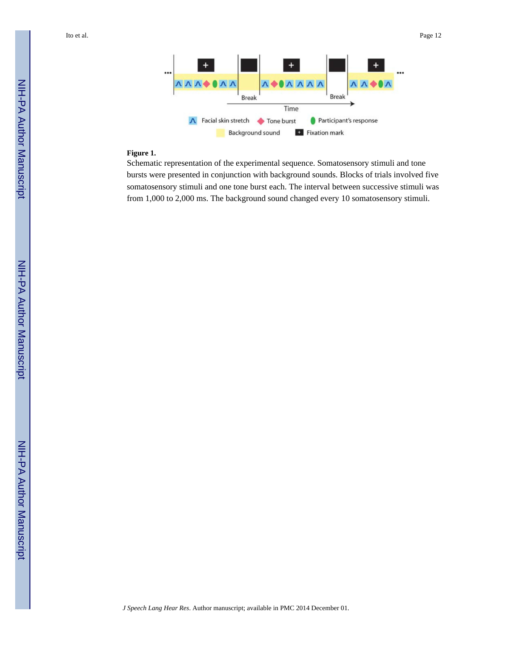

#### **Figure 1.**

Schematic representation of the experimental sequence. Somatosensory stimuli and tone bursts were presented in conjunction with background sounds. Blocks of trials involved five somatosensory stimuli and one tone burst each. The interval between successive stimuli was from 1,000 to 2,000 ms. The background sound changed every 10 somatosensory stimuli.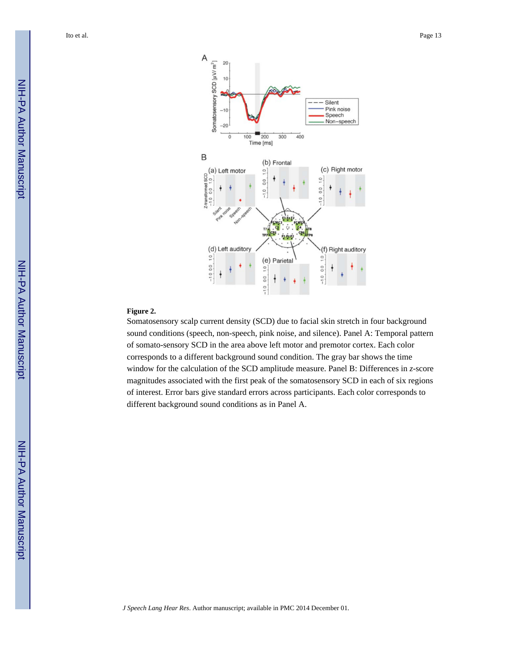

## **Figure 2.**

Somatosensory scalp current density (SCD) due to facial skin stretch in four background sound conditions (speech, non-speech, pink noise, and silence). Panel A: Temporal pattern of somato-sensory SCD in the area above left motor and premotor cortex. Each color corresponds to a different background sound condition. The gray bar shows the time window for the calculation of the SCD amplitude measure. Panel B: Differences in *z*-score magnitudes associated with the first peak of the somatosensory SCD in each of six regions of interest. Error bars give standard errors across participants. Each color corresponds to different background sound conditions as in Panel A.